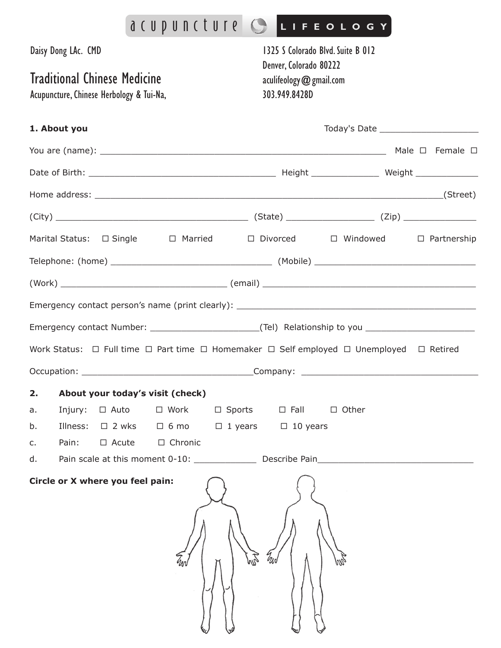|                                                                                                 | acupuncture CLIFFOLOGY                                                                          |                                                                                                          |              |  |  |
|-------------------------------------------------------------------------------------------------|-------------------------------------------------------------------------------------------------|----------------------------------------------------------------------------------------------------------|--------------|--|--|
| Daisy Dong LAc. CMD<br>Traditional Chinese Medicine<br>Acupuncture, Chinese Herbology & Tui-Na, |                                                                                                 | 1325 S Colorado Blvd. Suite B 012<br>Denver, Colorado 80222<br>aculifeology @ gmail.com<br>303.949.8428D |              |  |  |
| 1. About you                                                                                    |                                                                                                 |                                                                                                          |              |  |  |
|                                                                                                 |                                                                                                 |                                                                                                          |              |  |  |
|                                                                                                 |                                                                                                 |                                                                                                          |              |  |  |
|                                                                                                 |                                                                                                 |                                                                                                          |              |  |  |
|                                                                                                 |                                                                                                 |                                                                                                          |              |  |  |
|                                                                                                 | Marital Status: $\Box$ Single $\Box$ Married $\Box$ Divorced $\Box$ Windowed $\Box$ Partnership |                                                                                                          |              |  |  |
|                                                                                                 |                                                                                                 |                                                                                                          |              |  |  |
|                                                                                                 |                                                                                                 |                                                                                                          |              |  |  |
|                                                                                                 |                                                                                                 |                                                                                                          |              |  |  |
|                                                                                                 |                                                                                                 |                                                                                                          |              |  |  |
|                                                                                                 | Work Status: □ Full time □ Part time □ Homemaker □ Self employed □ Unemployed □ Retired         |                                                                                                          |              |  |  |
|                                                                                                 |                                                                                                 |                                                                                                          |              |  |  |
| 2.                                                                                              | About your today's visit (check)                                                                |                                                                                                          |              |  |  |
| Injury:<br>a.                                                                                   | $\Box$ Auto $\Box$ Work $\Box$ Sports $\Box$ Fall                                               |                                                                                                          | $\Box$ Other |  |  |
| b.<br>Pain:<br>c.                                                                               | Illness: □ 2 wks □ 6 mo □ 1 years □ 10 years<br>□ Acute □ Chronic                               |                                                                                                          |              |  |  |
| d.                                                                                              |                                                                                                 |                                                                                                          |              |  |  |
| Circle or X where you feel pain:                                                                |                                                                                                 |                                                                                                          |              |  |  |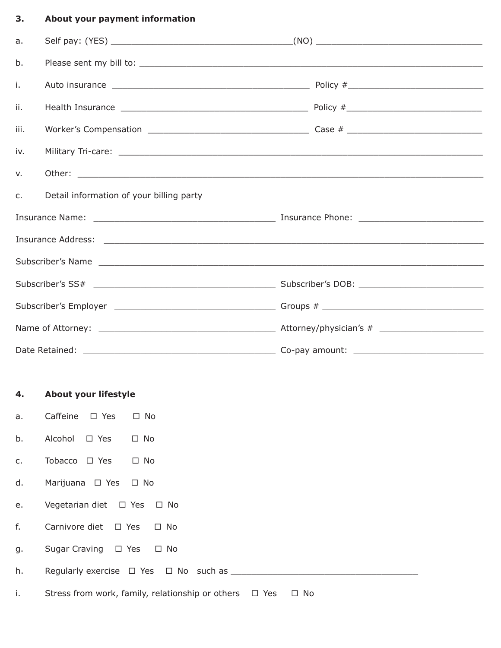## **3. About your payment information**

| a.            |                                          |  |  |  |
|---------------|------------------------------------------|--|--|--|
| b.            |                                          |  |  |  |
| i.            |                                          |  |  |  |
| ii.           |                                          |  |  |  |
| iii.          |                                          |  |  |  |
| iv.           |                                          |  |  |  |
| $V_{\bullet}$ |                                          |  |  |  |
| $C_{1}$       | Detail information of your billing party |  |  |  |
|               |                                          |  |  |  |
|               |                                          |  |  |  |
|               |                                          |  |  |  |
|               |                                          |  |  |  |
|               |                                          |  |  |  |
|               |                                          |  |  |  |
|               |                                          |  |  |  |

## **4. About your lifestyle**

- a. Caffeine □ Yes □ No
- b. Alcohol □ Yes □ No
- c. Tobacco  $\Box$  Yes  $\Box$  No
- d. Marijuana □ Yes □ No
- e. Vegetarian diet □ Yes □ No
- f. Carnivore diet  $\Box$  Yes  $\Box$  No
- g. Sugar Craving □ Yes □ No
- h. Regularly exercise ¨ Yes ¨ No such as \_\_\_\_\_\_\_\_\_\_\_\_\_\_\_\_\_\_\_\_\_\_\_\_\_\_\_\_\_\_\_\_\_\_\_\_
- i. Stress from work, family, relationship or others  $\Box$  Yes  $\Box$  No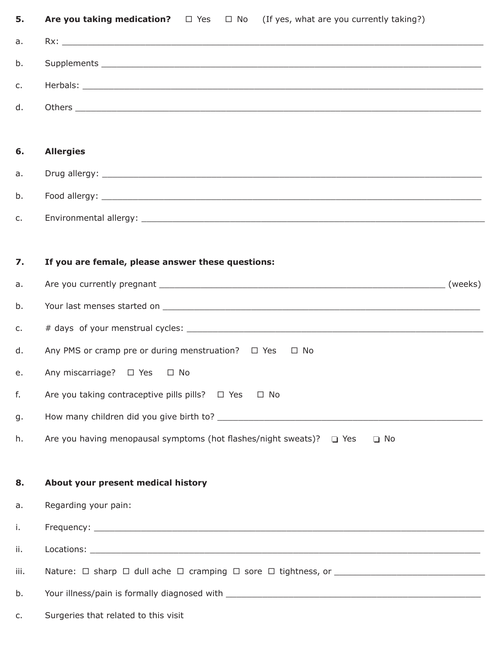| 5.   | Are you taking medication? $\square$ Yes $\square$ No (If yes, what are you currently taking?) |
|------|------------------------------------------------------------------------------------------------|
| a.   |                                                                                                |
| b.   |                                                                                                |
| c.   |                                                                                                |
| d.   |                                                                                                |
|      |                                                                                                |
| 6.   | <b>Allergies</b>                                                                               |
| a.   |                                                                                                |
| b.   |                                                                                                |
| c.   |                                                                                                |
|      |                                                                                                |
| 7.   | If you are female, please answer these questions:                                              |
| a.   |                                                                                                |
| b.   |                                                                                                |
| c.   |                                                                                                |
| d.   | Any PMS or cramp pre or during menstruation?  □ Yes □ No                                       |
| e.   | Any miscarriage? □ Yes □ No                                                                    |
| f.   | Are you taking contraceptive pills pills? $\Box$ Yes<br>$\square$ No                           |
| g.   |                                                                                                |
| h.   | Are you having menopausal symptoms (hot flashes/night sweats)? $\Box$ Yes<br>$\Box$ No         |
|      |                                                                                                |
| 8.   | About your present medical history                                                             |
| a.   | Regarding your pain:                                                                           |
| i.   |                                                                                                |
| ii.  |                                                                                                |
| iii. |                                                                                                |
| b.   |                                                                                                |
| c.   | Surgeries that related to this visit                                                           |